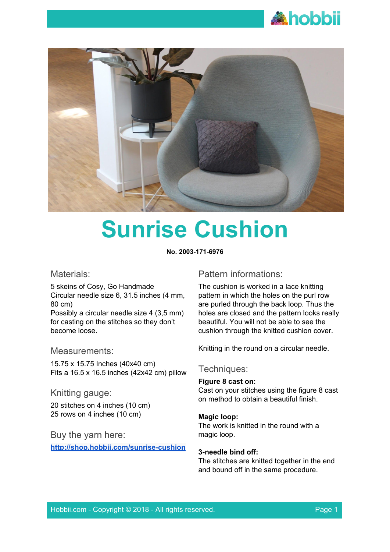



# **Sunrise Cushion**

**No. 2003-171-6976**

# Materials:

5 skeins of Cosy, Go Handmade Circular needle size 6, 31.5 inches (4 mm, 80 cm) Possibly a circular needle size 4 (3,5 mm) for casting on the stitches so they don't become loose.

# Measurements:

15.75 x 15.75 Inches (40x40 cm) Fits a 16.5 x 16.5 inches (42x42 cm) pillow

# Knitting gauge:

20 stitches on 4 inches (10 cm) 25 rows on 4 inches (10 cm)

# Buy the yarn here:

**<http://shop.hobbii.com/sunrise-cushion>**

# Pattern informations:

The cushion is worked in a lace knitting pattern in which the holes on the purl row are purled through the back loop. Thus the holes are closed and the pattern looks really beautiful. You will not be able to see the cushion through the knitted cushion cover.

Knitting in the round on a circular needle.

# Techniques:

#### **Figure 8 cast on:**

Cast on your stitches using the figure 8 cast on method to obtain a beautiful finish.

# **Magic loop:**

The work is knitted in the round with a magic loop.

#### **3-needle bind off:**

The stitches are knitted together in the end and bound off in the same procedure.